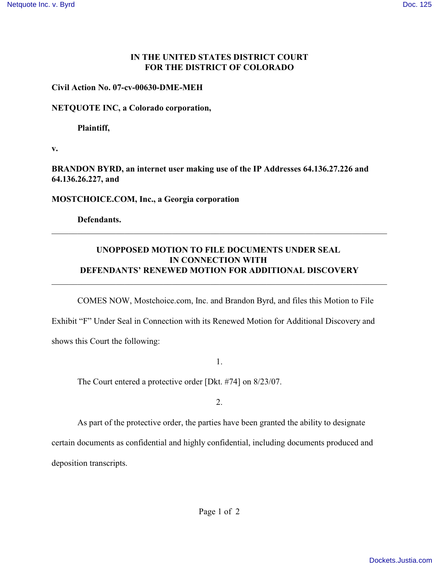### **IN THE UNITED STATES DISTRICT COURT FOR THE DISTRICT OF COLORADO**

#### **Civil Action No. 07-cv-00630-DME-MEH**

#### **NETQUOTE INC, a Colorado corporation,**

**Plaintiff,**

**v.**

**BRANDON BYRD, an internet user making use of the IP Addresses 64.136.27.226 and 64.136.26.227, and**

**MOSTCHOICE.COM, Inc., a Georgia corporation**

**Defendants.**

## **UNOPPOSED MOTION TO FILE DOCUMENTS UNDER SEAL IN CONNECTION WITH DEFENDANTS' RENEWED MOTION FOR ADDITIONAL DISCOVERY**

\_\_\_\_\_\_\_\_\_\_\_\_\_\_\_\_\_\_\_\_\_\_\_\_\_\_\_\_\_\_\_\_\_\_\_\_\_\_\_\_\_\_\_\_\_\_\_\_\_\_\_\_\_\_\_\_\_\_\_\_\_\_\_\_\_\_\_\_\_\_\_\_\_\_\_\_\_\_

\_\_\_\_\_\_\_\_\_\_\_\_\_\_\_\_\_\_\_\_\_\_\_\_\_\_\_\_\_\_\_\_\_\_\_\_\_\_\_\_\_\_\_\_\_\_\_\_\_\_\_\_\_\_\_\_\_\_\_\_\_\_\_\_\_\_\_\_\_\_\_\_\_\_\_\_\_\_

COMES NOW, Mostchoice.com, Inc. and Brandon Byrd, and files this Motion to File

Exhibit "F" Under Seal in Connection with its Renewed Motion for Additional Discovery and shows this Court the following:

1.

The Court entered a protective order [Dkt. #74] on 8/23/07.

2.

As part of the protective order, the parties have been granted the ability to designate

certain documents as confidential and highly confidential, including documents produced and

deposition transcripts.